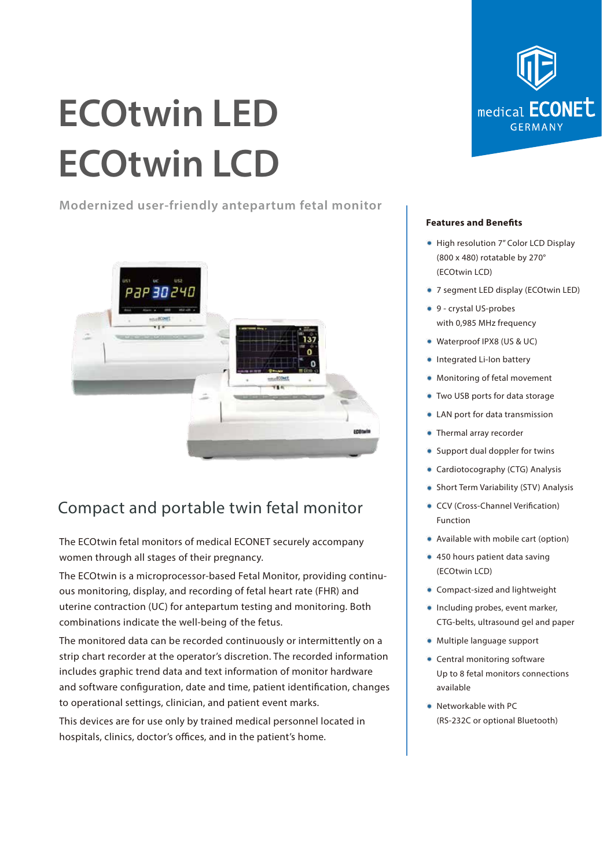# **ECOtwin LED ECOtwin LCD**

**Modernized user-friendly antepartum fetal monitor**



### Compact and portable twin fetal monitor

The ECOtwin fetal monitors of medical ECONET securely accompany women through all stages of their pregnancy.

The ECOtwin is a microprocessor-based Fetal Monitor, providing continuous monitoring, display, and recording of fetal heart rate (FHR) and uterine contraction (UC) for antepartum testing and monitoring. Both combinations indicate the well-being of the fetus.

The monitored data can be recorded continuously or intermittently on a strip chart recorder at the operator's discretion. The recorded information includes graphic trend data and text information of monitor hardware and software configuration, date and time, patient identification, changes to operational settings, clinician, and patient event marks.

This devices are for use only by trained medical personnel located in hospitals, clinics, doctor's offices, and in the patient's home.



#### **Features and Benefits**

- High resolution 7" Color LCD Display (800 x 480) rotatable by 270° (ECOtwin LCD)
- 7 segment LED display (ECOtwin LED)
- 9 crystal US-probes with 0,985 MHz frequency
- Waterproof IPX8 (US & UC)
- **Integrated Li-Ion battery**
- Monitoring of fetal movement
- Two USB ports for data storage
- LAN port for data transmission
- Thermal array recorder
- Support dual doppler for twins
- Cardiotocography (CTG) Analysis
- Short Term Variability (STV) Analysis
- CCV (Cross-Channel Verification) Function
- Available with mobile cart (option)
- 450 hours patient data saving (ECOtwin LCD)
- Compact-sized and lightweight
- Including probes, event marker, CTG-belts, ultrasound gel and paper
- Multiple language support
- Central monitoring software Up to 8 fetal monitors connections available
- Networkable with PC (RS-232C or optional Bluetooth)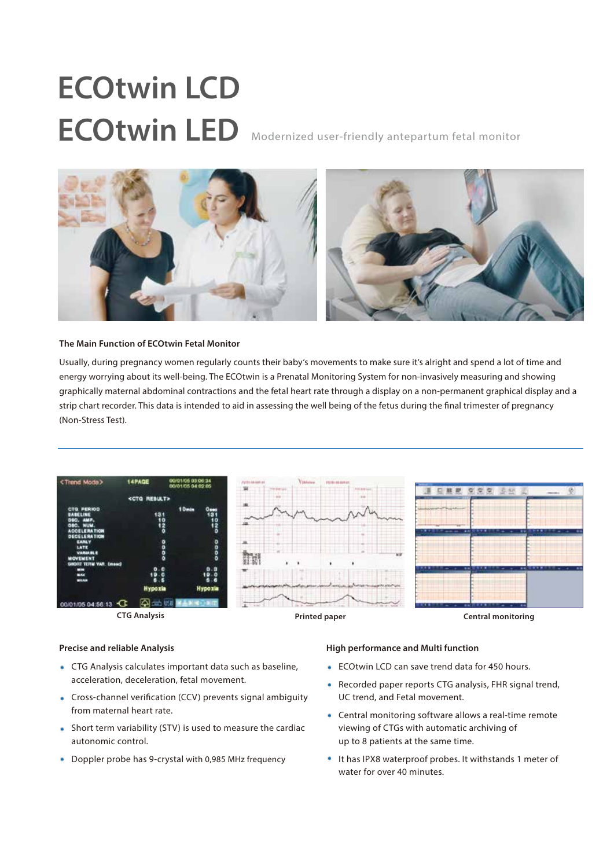## **ECOtwin LCD** ECOtwin LED Modernized user-friendly antepartum fetal monitor



#### **The Main Function of ECOtwin Fetal Monitor**

Usually, during pregnancy women regularly counts their baby's movements to make sure it's alright and spend a lot of time and energy worrying about its well-being. The ECOtwin is a Prenatal Monitoring System for non-invasively measuring and showing graphically maternal abdominal contractions and the fetal heart rate through a display on a non-permanent graphical display and a strip chart recorder. This data is intended to aid in assessing the well being of the fetus during the final trimester of pregnancy (Non-Stress Test).



#### **Precise and reliable Analysis**

- CTG Analysis calculates important data such as baseline, acceleration, deceleration, fetal movement.
- Cross-channel verification (CCV) prevents signal ambiguity from maternal heart rate.
- Short term variability (STV) is used to measure the cardiac autonomic control.
- Doppler probe has 9-crystal with 0,985 MHz frequency

#### **High performance and Multi function**

- **ECOtwin LCD can save trend data for 450 hours.**
- Recorded paper reports CTG analysis, FHR signal trend, UC trend, and Fetal movement.
- Central monitoring software allows a real-time remote viewing of CTGs with automatic archiving of up to 8 patients at the same time.
- It has IPX8 waterproof probes. It withstands 1 meter of water for over 40 minutes.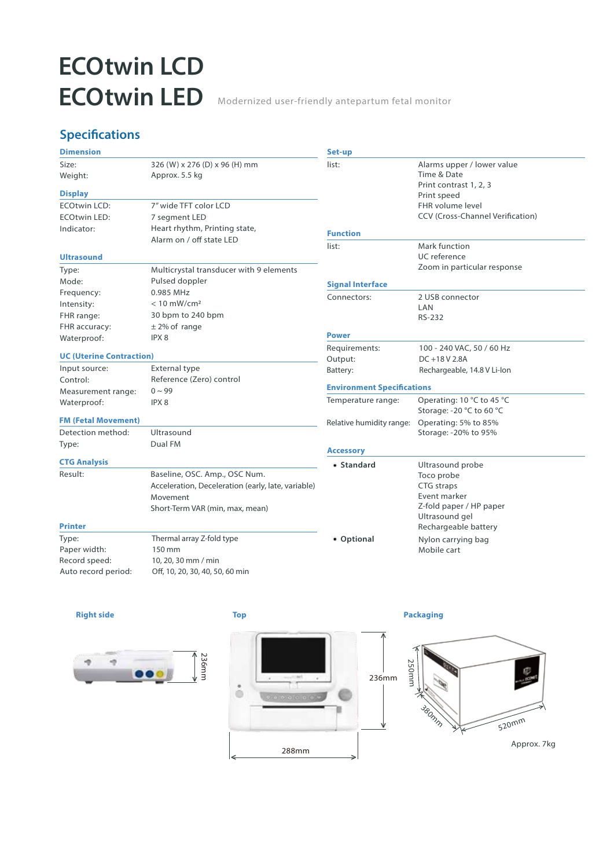## **ECOtwin LCD ECOtwin LED** Modernized user-friendly antepartum fetal monitor

### **Specifications**

| <b>Dimension</b>                |                                                    | Set-up                            |                                                                     |
|---------------------------------|----------------------------------------------------|-----------------------------------|---------------------------------------------------------------------|
| Size:<br>Weight:                | 326 (W) x 276 (D) x 96 (H) mm<br>Approx. 5.5 kg    | list:                             | Alarms upper / lower value<br>Time & Date<br>Print contrast 1, 2, 3 |
| <b>Display</b>                  |                                                    |                                   | Print speed                                                         |
| <b>ECOtwin LCD:</b>             | 7" wide TFT color LCD                              |                                   | FHR volume level                                                    |
| <b>ECOtwin LED:</b>             | 7 segment LED                                      |                                   | CCV (Cross-Channel Verification)                                    |
| Indicator:                      | Heart rhythm, Printing state,                      | <b>Function</b>                   |                                                                     |
|                                 | Alarm on / off state LED                           | list:                             | Mark function                                                       |
| <b>Ultrasound</b>               |                                                    |                                   | UC reference                                                        |
| Type:                           | Multicrystal transducer with 9 elements            |                                   | Zoom in particular response                                         |
| Mode:                           | Pulsed doppler                                     | <b>Signal Interface</b>           |                                                                     |
| Frequency:                      | 0.985 MHz                                          |                                   |                                                                     |
| Intensity:                      | $< 10$ mW/cm <sup>2</sup>                          | Connectors:                       | 2 USB connector<br>LAN                                              |
| FHR range:                      | 30 bpm to 240 bpm                                  |                                   | <b>RS-232</b>                                                       |
| FHR accuracy:                   | $±$ 2% of range                                    |                                   |                                                                     |
| Waterproof:                     | IPX <sub>8</sub>                                   | <b>Power</b>                      |                                                                     |
|                                 |                                                    | Requirements:                     | 100 - 240 VAC, 50 / 60 Hz                                           |
| <b>UC (Uterine Contraction)</b> |                                                    | Output:                           | DC+18V2.8A                                                          |
| Input source:                   | <b>External type</b>                               | Battery:                          | Rechargeable, 14.8 V Li-lon                                         |
| Control:                        | Reference (Zero) control                           | <b>Environment Specifications</b> |                                                                     |
| Measurement range:              | $0 \sim 99$<br>IPX8                                | Temperature range:                | Operating: 10 °C to 45 °C                                           |
| Waterproof:                     |                                                    |                                   | Storage: -20 °C to 60 °C                                            |
| <b>FM (Fetal Movement)</b>      |                                                    | Relative humidity range:          | Operating: 5% to 85%                                                |
| Detection method:               | Ultrasound                                         |                                   | Storage: -20% to 95%                                                |
| Type:                           | Dual FM                                            |                                   |                                                                     |
| <b>CTG Analysis</b>             |                                                    | <b>Accessory</b>                  |                                                                     |
| Result:                         | Baseline, OSC. Amp., OSC Num.                      | • Standard                        | Ultrasound probe                                                    |
|                                 | Acceleration, Deceleration (early, late, variable) |                                   | Toco probe<br>CTG straps                                            |
|                                 | Movement                                           |                                   | Event marker                                                        |
|                                 | Short-Term VAR (min, max, mean)                    |                                   | Z-fold paper / HP paper                                             |
|                                 |                                                    |                                   | Ultrasound gel                                                      |
| <b>Printer</b>                  |                                                    |                                   | Rechargeable battery                                                |
| Type:                           | Thermal array Z-fold type                          | • Optional                        | Nylon carrying bag                                                  |
| Paper width:                    | 150 mm                                             |                                   | Mobile cart                                                         |
| Record speed:                   | 10, 20, 30 mm / min                                |                                   |                                                                     |
| Auto record period:             | Off, 10, 20, 30, 40, 50, 60 min                    |                                   |                                                                     |

#### **Right side**



#### **Top**



**Packaging**